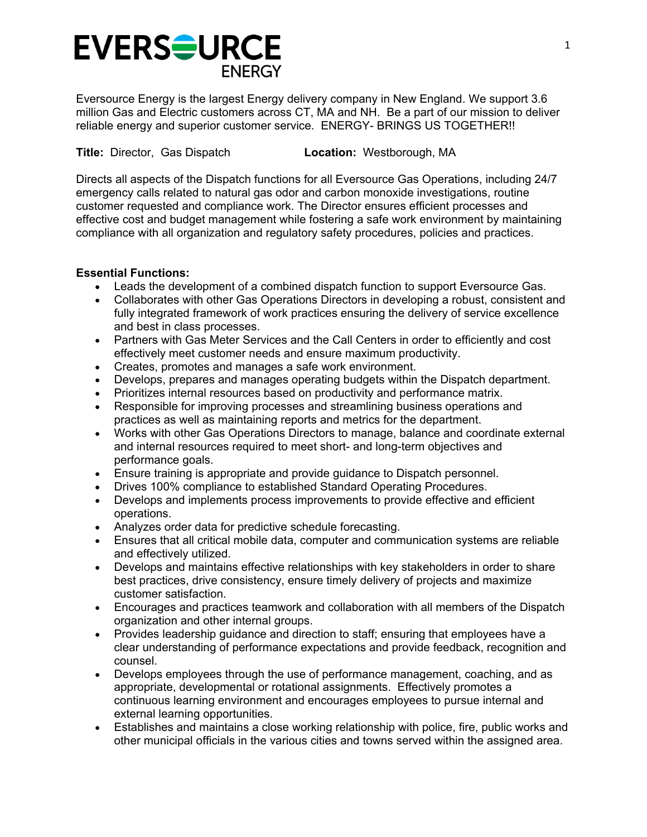# **EVERSOURCE ENERGY**

Eversource Energy is the largest Energy delivery company in New England. We support 3.6 million Gas and Electric customers across CT, MA and NH. Be a part of our mission to deliver reliable energy and superior customer service. ENERGY- BRINGS US TOGETHER!!

**Title:** Director, Gas Dispatch **Location:** Westborough, MA

Directs all aspects of the Dispatch functions for all Eversource Gas Operations, including 24/7 emergency calls related to natural gas odor and carbon monoxide investigations, routine customer requested and compliance work. The Director ensures efficient processes and effective cost and budget management while fostering a safe work environment by maintaining compliance with all organization and regulatory safety procedures, policies and practices.

## **Essential Functions:**

- Leads the development of a combined dispatch function to support Eversource Gas.
- Collaborates with other Gas Operations Directors in developing a robust, consistent and fully integrated framework of work practices ensuring the delivery of service excellence and best in class processes.
- Partners with Gas Meter Services and the Call Centers in order to efficiently and cost effectively meet customer needs and ensure maximum productivity.
- Creates, promotes and manages a safe work environment.
- Develops, prepares and manages operating budgets within the Dispatch department.
- Prioritizes internal resources based on productivity and performance matrix.
- Responsible for improving processes and streamlining business operations and practices as well as maintaining reports and metrics for the department.
- Works with other Gas Operations Directors to manage, balance and coordinate external and internal resources required to meet short- and long-term objectives and performance goals.
- Ensure training is appropriate and provide guidance to Dispatch personnel.
- Drives 100% compliance to established Standard Operating Procedures.
- Develops and implements process improvements to provide effective and efficient operations.
- Analyzes order data for predictive schedule forecasting.
- Ensures that all critical mobile data, computer and communication systems are reliable and effectively utilized.
- Develops and maintains effective relationships with key stakeholders in order to share best practices, drive consistency, ensure timely delivery of projects and maximize customer satisfaction.
- Encourages and practices teamwork and collaboration with all members of the Dispatch organization and other internal groups.
- Provides leadership guidance and direction to staff; ensuring that employees have a clear understanding of performance expectations and provide feedback, recognition and counsel.
- Develops employees through the use of performance management, coaching, and as appropriate, developmental or rotational assignments. Effectively promotes a continuous learning environment and encourages employees to pursue internal and external learning opportunities.
- Establishes and maintains a close working relationship with police, fire, public works and other municipal officials in the various cities and towns served within the assigned area.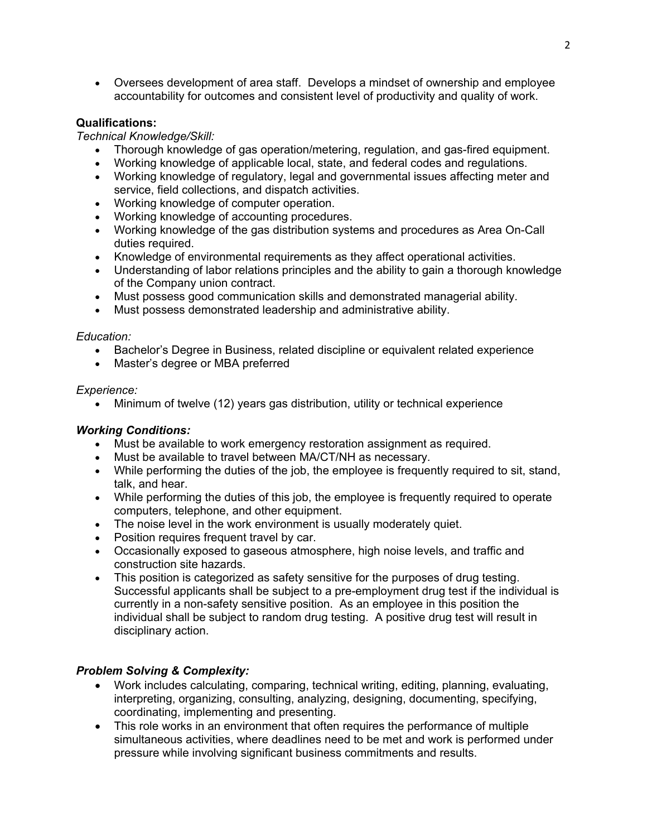Oversees development of area staff. Develops a mindset of ownership and employee accountability for outcomes and consistent level of productivity and quality of work.

## **Qualifications:**

#### *Technical Knowledge/Skill:*

- Thorough knowledge of gas operation/metering, regulation, and gas-fired equipment.
- Working knowledge of applicable local, state, and federal codes and regulations.
- Working knowledge of regulatory, legal and governmental issues affecting meter and service, field collections, and dispatch activities.
- Working knowledge of computer operation.
- Working knowledge of accounting procedures.
- Working knowledge of the gas distribution systems and procedures as Area On-Call duties required.
- Knowledge of environmental requirements as they affect operational activities.
- Understanding of labor relations principles and the ability to gain a thorough knowledge of the Company union contract.
- Must possess good communication skills and demonstrated managerial ability.
- Must possess demonstrated leadership and administrative ability.

#### *Education:*

- Bachelor's Degree in Business, related discipline or equivalent related experience
- Master's degree or MBA preferred

#### *Experience:*

Minimum of twelve (12) years gas distribution, utility or technical experience

## *Working Conditions:*

- Must be available to work emergency restoration assignment as required.
- Must be available to travel between MA/CT/NH as necessary.
- While performing the duties of the job, the employee is frequently required to sit, stand, talk, and hear.
- While performing the duties of this job, the employee is frequently required to operate computers, telephone, and other equipment.
- The noise level in the work environment is usually moderately quiet.
- Position requires frequent travel by car.
- Occasionally exposed to gaseous atmosphere, high noise levels, and traffic and construction site hazards.
- This position is categorized as safety sensitive for the purposes of drug testing. Successful applicants shall be subject to a pre-employment drug test if the individual is currently in a non-safety sensitive position. As an employee in this position the individual shall be subject to random drug testing. A positive drug test will result in disciplinary action.

## *Problem Solving & Complexity:*

- Work includes calculating, comparing, technical writing, editing, planning, evaluating, interpreting, organizing, consulting, analyzing, designing, documenting, specifying, coordinating, implementing and presenting.
- This role works in an environment that often requires the performance of multiple simultaneous activities, where deadlines need to be met and work is performed under pressure while involving significant business commitments and results.